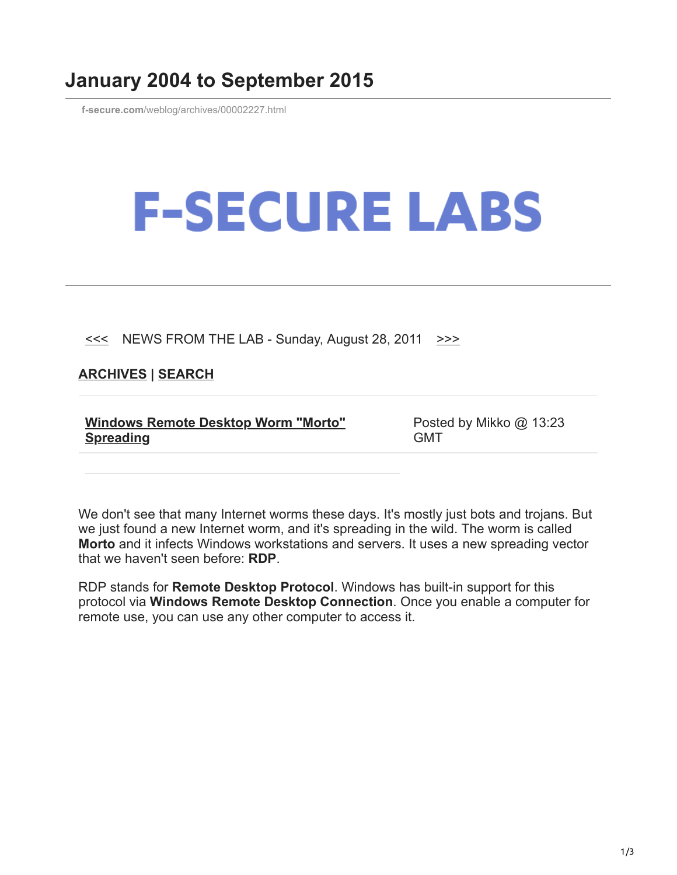## **January 2004 to September 2015**

**f-secure.com**[/weblog/archives/00002227.html](https://www.f-secure.com/weblog/archives/00002227.html)

## **F-SECURE LABS**

 $\leq$  NEWS FROM THE LAB - Sunday, August 28, 2011  $\geq$ 

## **[ARCHIVES](https://www.f-secure.com/weblog/archives/) | [SEARCH](https://www.bing.com/search?q=site:f-secure.com/weblog)**

| <b>Windows Remote Desktop Worm "Morto"</b> |  |
|--------------------------------------------|--|
| <b>Spreading</b>                           |  |

Posted by Mikko @ 13:23 GMT

We don't see that many Internet worms these days. It's mostly just bots and trojans. But we just found a new Internet worm, and it's spreading in the wild. The worm is called **Morto** and it infects Windows workstations and servers. It uses a new spreading vector that we haven't seen before: **RDP**.

RDP stands for **Remote Desktop Protocol**. Windows has built-in support for this protocol via **Windows Remote Desktop Connection**. Once you enable a computer for remote use, you can use any other computer to access it.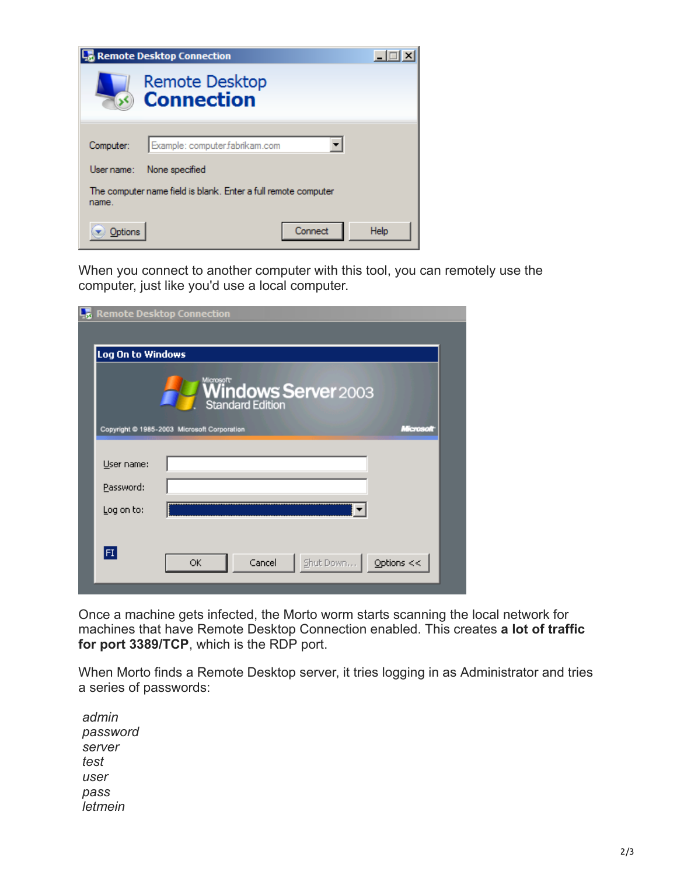| <b>Remote Desktop Connection</b>                                        |                                            |      |  |
|-------------------------------------------------------------------------|--------------------------------------------|------|--|
|                                                                         | <b>Remote Desktop</b><br><b>Connection</b> |      |  |
| Computer:                                                               | Example: computer.fabrikam.com             |      |  |
| User name:                                                              | None specified                             |      |  |
| The computer name field is blank. Enter a full remote computer<br>name. |                                            |      |  |
|                                                                         | Connect                                    | Help |  |

When you connect to another computer with this tool, you can remotely use the computer, just like you'd use a local computer.

|                   | <b>L<sub>o</sub></b> Remote Desktop Connection                                                             |  |
|-------------------|------------------------------------------------------------------------------------------------------------|--|
|                   |                                                                                                            |  |
| Log On to Windows |                                                                                                            |  |
|                   | <b>Windows Server</b> 2003<br>Standard Edition<br>Copyright @ 1985-2003 Microsoft Corporation<br>Microsoft |  |
|                   |                                                                                                            |  |
| User name:        |                                                                                                            |  |
| Password:         |                                                                                                            |  |
| Log on to:        |                                                                                                            |  |
| $ \mathsf{FI} $   | Cancel<br>Shut Down<br>Options $<<$<br>ОК                                                                  |  |

Once a machine gets infected, the Morto worm starts scanning the local network for machines that have Remote Desktop Connection enabled. This creates **a lot of traffic for port 3389/TCP**, which is the RDP port.

When Morto finds a Remote Desktop server, it tries logging in as Administrator and tries a series of passwords:

 *admin password server test user pass letmein*